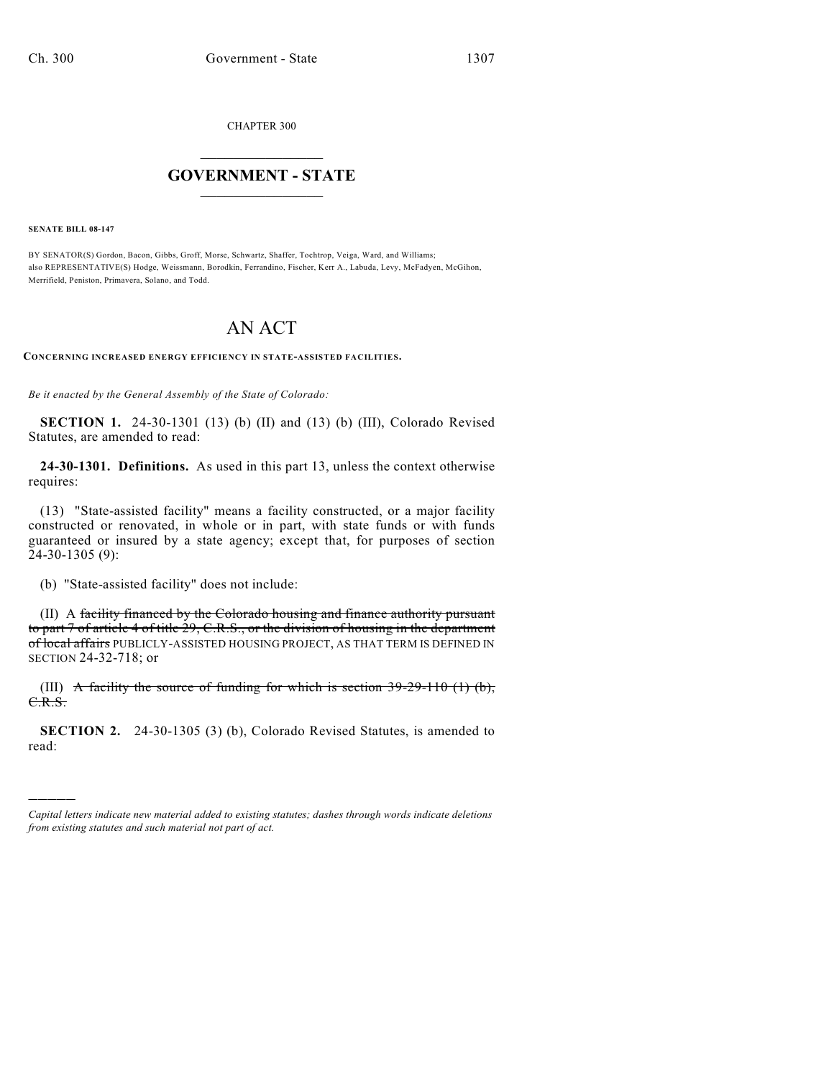CHAPTER 300

## $\overline{\phantom{a}}$  . The set of the set of the set of the set of the set of the set of the set of the set of the set of the set of the set of the set of the set of the set of the set of the set of the set of the set of the set o **GOVERNMENT - STATE**  $\_$

**SENATE BILL 08-147**

)))))

BY SENATOR(S) Gordon, Bacon, Gibbs, Groff, Morse, Schwartz, Shaffer, Tochtrop, Veiga, Ward, and Williams; also REPRESENTATIVE(S) Hodge, Weissmann, Borodkin, Ferrandino, Fischer, Kerr A., Labuda, Levy, McFadyen, McGihon, Merrifield, Peniston, Primavera, Solano, and Todd.

## AN ACT

**CONCERNING INCREASED ENERGY EFFICIENCY IN STATE-ASSISTED FACILITIES.**

*Be it enacted by the General Assembly of the State of Colorado:*

**SECTION 1.** 24-30-1301 (13) (b) (II) and (13) (b) (III), Colorado Revised Statutes, are amended to read:

**24-30-1301. Definitions.** As used in this part 13, unless the context otherwise requires:

(13) "State-assisted facility" means a facility constructed, or a major facility constructed or renovated, in whole or in part, with state funds or with funds guaranteed or insured by a state agency; except that, for purposes of section 24-30-1305 (9):

(b) "State-assisted facility" does not include:

(II) A facility financed by the Colorado housing and finance authority pursuant to part 7 of article 4 of title 29, C.R.S., or the division of housing in the department of local affairs PUBLICLY-ASSISTED HOUSING PROJECT, AS THAT TERM IS DEFINED IN SECTION 24-32-718; or

(III) A facility the source of funding for which is section  $39-29-110$  (1) (b), C.R.S.

**SECTION 2.** 24-30-1305 (3) (b), Colorado Revised Statutes, is amended to read:

*Capital letters indicate new material added to existing statutes; dashes through words indicate deletions from existing statutes and such material not part of act.*